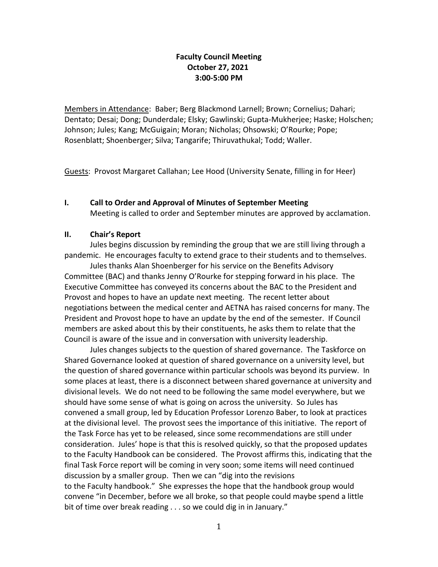# **Faculty Council Meeting October 27, 2021 3:00-5:00 PM**

Members in Attendance: Baber; Berg Blackmond Larnell; Brown; Cornelius; Dahari; Dentato; Desai; Dong; Dunderdale; Elsky; Gawlinski; Gupta-Mukherjee; Haske; Holschen; Johnson; Jules; Kang; McGuigain; Moran; Nicholas; Ohsowski; O'Rourke; Pope; Rosenblatt; Shoenberger; Silva; Tangarife; Thiruvathukal; Todd; Waller.

Guests: Provost Margaret Callahan; Lee Hood (University Senate, filling in for Heer)

## **I. Call to Order and Approval of Minutes of September Meeting**  Meeting is called to order and September minutes are approved by acclamation.

# **II. Chair's Report**

Jules begins discussion by reminding the group that we are still living through a pandemic. He encourages faculty to extend grace to their students and to themselves.

Jules thanks Alan Shoenberger for his service on the Benefits Advisory Committee (BAC) and thanks Jenny O'Rourke for stepping forward in his place. The Executive Committee has conveyed its concerns about the BAC to the President and Provost and hopes to have an update next meeting. The recent letter about negotiations between the medical center and AETNA has raised concerns for many. The President and Provost hope to have an update by the end of the semester. If Council members are asked about this by their constituents, he asks them to relate that the Council is aware of the issue and in conversation with university leadership.

Jules changes subjects to the question of shared governance. The Taskforce on Shared Governance looked at question of shared governance on a university level, but the question of shared governance within particular schools was beyond its purview. In some places at least, there is a disconnect between shared governance at university and divisional levels. We do not need to be following the same model everywhere, but we should have some sense of what is going on across the university. So Jules has convened a small group, led by Education Professor Lorenzo Baber, to look at practices at the divisional level. The provost sees the importance of this initiative. The report of the Task Force has yet to be released, since some recommendations are still under consideration. Jules' hope is that this is resolved quickly, so that the proposed updates to the Faculty Handbook can be considered. The Provost affirms this, indicating that the final Task Force report will be coming in very soon; some items will need continued discussion by a smaller group. Then we can "dig into the revisions to the Faculty handbook." She expresses the hope that the handbook group would convene "in December, before we all broke, so that people could maybe spend a little bit of time over break reading . . . so we could dig in in January."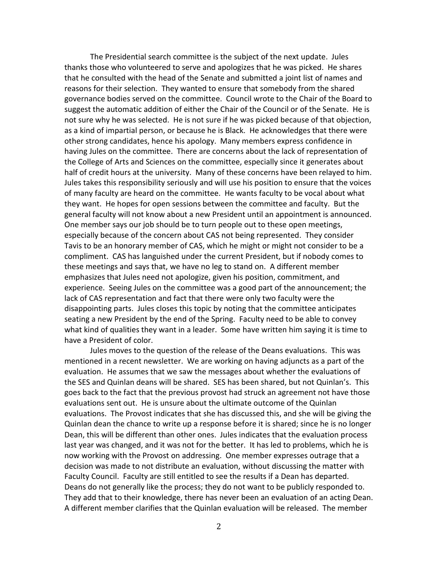The Presidential search committee is the subject of the next update. Jules thanks those who volunteered to serve and apologizes that he was picked. He shares that he consulted with the head of the Senate and submitted a joint list of names and reasons for their selection. They wanted to ensure that somebody from the shared governance bodies served on the committee. Council wrote to the Chair of the Board to suggest the automatic addition of either the Chair of the Council or of the Senate. He is not sure why he was selected. He is not sure if he was picked because of that objection, as a kind of impartial person, or because he is Black. He acknowledges that there were other strong candidates, hence his apology. Many members express confidence in having Jules on the committee. There are concerns about the lack of representation of the College of Arts and Sciences on the committee, especially since it generates about half of credit hours at the university. Many of these concerns have been relayed to him. Jules takes this responsibility seriously and will use his position to ensure that the voices of many faculty are heard on the committee. He wants faculty to be vocal about what they want. He hopes for open sessions between the committee and faculty. But the general faculty will not know about a new President until an appointment is announced. One member says our job should be to turn people out to these open meetings, especially because of the concern about CAS not being represented. They consider Tavis to be an honorary member of CAS, which he might or might not consider to be a compliment. CAS has languished under the current President, but if nobody comes to these meetings and says that, we have no leg to stand on. A different member emphasizes that Jules need not apologize, given his position, commitment, and experience. Seeing Jules on the committee was a good part of the announcement; the lack of CAS representation and fact that there were only two faculty were the disappointing parts. Jules closes this topic by noting that the committee anticipates seating a new President by the end of the Spring. Faculty need to be able to convey what kind of qualities they want in a leader. Some have written him saying it is time to have a President of color.

Jules moves to the question of the release of the Deans evaluations. This was mentioned in a recent newsletter. We are working on having adjuncts as a part of the evaluation. He assumes that we saw the messages about whether the evaluations of the SES and Quinlan deans will be shared. SES has been shared, but not Quinlan's. This goes back to the fact that the previous provost had struck an agreement not have those evaluations sent out. He is unsure about the ultimate outcome of the Quinlan evaluations. The Provost indicates that she has discussed this, and she will be giving the Quinlan dean the chance to write up a response before it is shared; since he is no longer Dean, this will be different than other ones. Jules indicates that the evaluation process last year was changed, and it was not for the better. It has led to problems, which he is now working with the Provost on addressing. One member expresses outrage that a decision was made to not distribute an evaluation, without discussing the matter with Faculty Council. Faculty are still entitled to see the results if a Dean has departed. Deans do not generally like the process; they do not want to be publicly responded to. They add that to their knowledge, there has never been an evaluation of an acting Dean. A different member clarifies that the Quinlan evaluation will be released. The member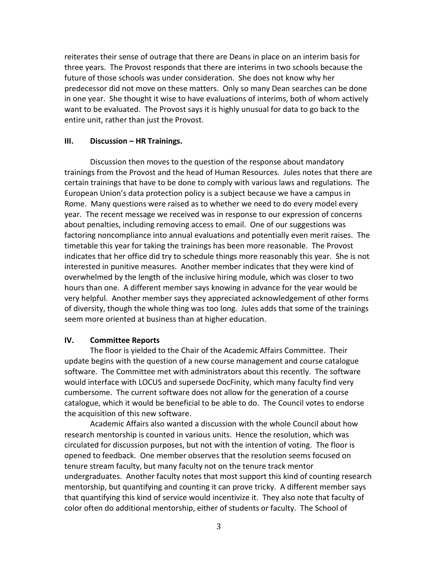reiterates their sense of outrage that there are Deans in place on an interim basis for three years. The Provost responds that there are interims in two schools because the future of those schools was under consideration. She does not know why her predecessor did not move on these matters. Only so many Dean searches can be done in one year. She thought it wise to have evaluations of interims, both of whom actively want to be evaluated. The Provost says it is highly unusual for data to go back to the entire unit, rather than just the Provost.

#### **III. Discussion – HR Trainings.**

Discussion then moves to the question of the response about mandatory trainings from the Provost and the head of Human Resources. Jules notes that there are certain trainings that have to be done to comply with various laws and regulations. The European Union's data protection policy is a subject because we have a campus in Rome. Many questions were raised as to whether we need to do every model every year. The recent message we received was in response to our expression of concerns about penalties, including removing access to email. One of our suggestions was factoring noncompliance into annual evaluations and potentially even merit raises. The timetable this year for taking the trainings has been more reasonable. The Provost indicates that her office did try to schedule things more reasonably this year. She is not interested in punitive measures. Another member indicates that they were kind of overwhelmed by the length of the inclusive hiring module, which was closer to two hours than one. A different member says knowing in advance for the year would be very helpful. Another member says they appreciated acknowledgement of other forms of diversity, though the whole thing was too long. Jules adds that some of the trainings seem more oriented at business than at higher education.

### **IV. Committee Reports**

The floor is yielded to the Chair of the Academic Affairs Committee. Their update begins with the question of a new course management and course catalogue software. The Committee met with administrators about this recently. The software would interface with LOCUS and supersede DocFinity, which many faculty find very cumbersome. The current software does not allow for the generation of a course catalogue, which it would be beneficial to be able to do. The Council votes to endorse the acquisition of this new software.

Academic Affairs also wanted a discussion with the whole Council about how research mentorship is counted in various units. Hence the resolution, which was circulated for discussion purposes, but not with the intention of voting. The floor is opened to feedback. One member observes that the resolution seems focused on tenure stream faculty, but many faculty not on the tenure track mentor undergraduates. Another faculty notes that most support this kind of counting research mentorship, but quantifying and counting it can prove tricky. A different member says that quantifying this kind of service would incentivize it. They also note that faculty of color often do additional mentorship, either of students or faculty. The School of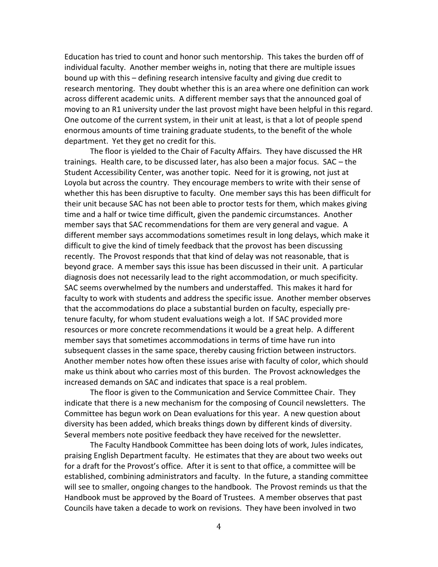Education has tried to count and honor such mentorship. This takes the burden off of individual faculty. Another member weighs in, noting that there are multiple issues bound up with this – defining research intensive faculty and giving due credit to research mentoring. They doubt whether this is an area where one definition can work across different academic units. A different member says that the announced goal of moving to an R1 university under the last provost might have been helpful in this regard. One outcome of the current system, in their unit at least, is that a lot of people spend enormous amounts of time training graduate students, to the benefit of the whole department. Yet they get no credit for this.

The floor is yielded to the Chair of Faculty Affairs. They have discussed the HR trainings. Health care, to be discussed later, has also been a major focus. SAC – the Student Accessibility Center, was another topic. Need for it is growing, not just at Loyola but across the country. They encourage members to write with their sense of whether this has been disruptive to faculty. One member says this has been difficult for their unit because SAC has not been able to proctor tests for them, which makes giving time and a half or twice time difficult, given the pandemic circumstances. Another member says that SAC recommendations for them are very general and vague. A different member says accommodations sometimes result in long delays, which make it difficult to give the kind of timely feedback that the provost has been discussing recently. The Provost responds that that kind of delay was not reasonable, that is beyond grace. A member says this issue has been discussed in their unit. A particular diagnosis does not necessarily lead to the right accommodation, or much specificity. SAC seems overwhelmed by the numbers and understaffed. This makes it hard for faculty to work with students and address the specific issue. Another member observes that the accommodations do place a substantial burden on faculty, especially pretenure faculty, for whom student evaluations weigh a lot. If SAC provided more resources or more concrete recommendations it would be a great help. A different member says that sometimes accommodations in terms of time have run into subsequent classes in the same space, thereby causing friction between instructors. Another member notes how often these issues arise with faculty of color, which should make us think about who carries most of this burden. The Provost acknowledges the increased demands on SAC and indicates that space is a real problem.

The floor is given to the Communication and Service Committee Chair. They indicate that there is a new mechanism for the composing of Council newsletters. The Committee has begun work on Dean evaluations for this year. A new question about diversity has been added, which breaks things down by different kinds of diversity. Several members note positive feedback they have received for the newsletter.

The Faculty Handbook Committee has been doing lots of work, Jules indicates, praising English Department faculty. He estimates that they are about two weeks out for a draft for the Provost's office. After it is sent to that office, a committee will be established, combining administrators and faculty. In the future, a standing committee will see to smaller, ongoing changes to the handbook. The Provost reminds us that the Handbook must be approved by the Board of Trustees. A member observes that past Councils have taken a decade to work on revisions. They have been involved in two